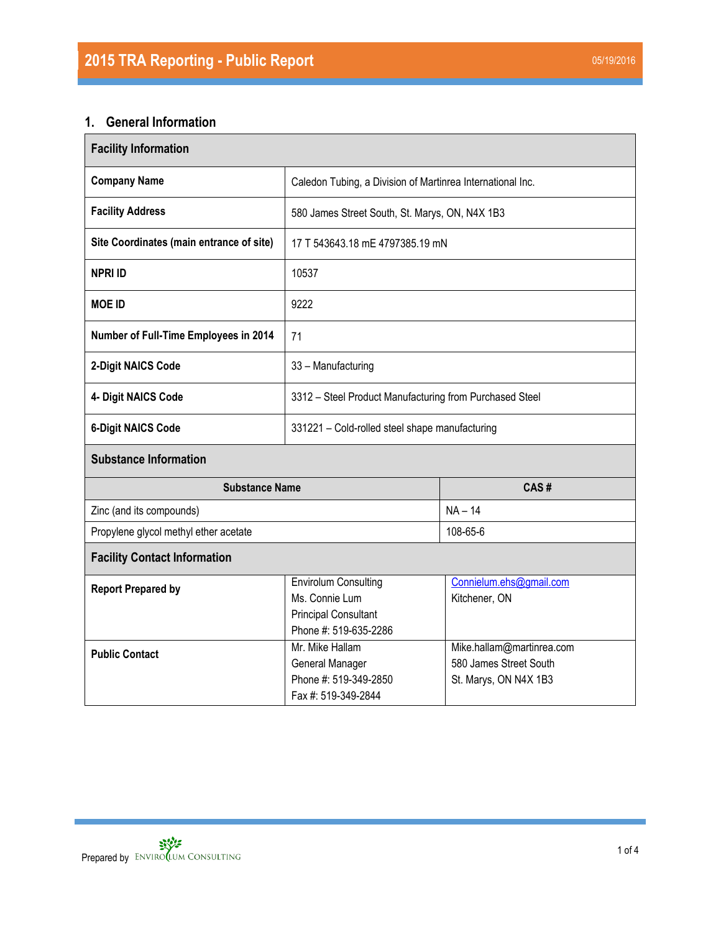# **1. General Information**

| <b>Facility Information</b>              |                                                                                                       |                                                                              |  |  |  |
|------------------------------------------|-------------------------------------------------------------------------------------------------------|------------------------------------------------------------------------------|--|--|--|
| <b>Company Name</b>                      | Caledon Tubing, a Division of Martinrea International Inc.                                            |                                                                              |  |  |  |
| <b>Facility Address</b>                  | 580 James Street South, St. Marys, ON, N4X 1B3                                                        |                                                                              |  |  |  |
| Site Coordinates (main entrance of site) | 17 T 543643.18 mE 4797385.19 mN                                                                       |                                                                              |  |  |  |
| <b>NPRI ID</b>                           | 10537                                                                                                 |                                                                              |  |  |  |
| <b>MOE ID</b>                            | 9222                                                                                                  |                                                                              |  |  |  |
| Number of Full-Time Employees in 2014    | 71                                                                                                    |                                                                              |  |  |  |
| 2-Digit NAICS Code                       | 33 - Manufacturing                                                                                    |                                                                              |  |  |  |
| 4- Digit NAICS Code                      | 3312 - Steel Product Manufacturing from Purchased Steel                                               |                                                                              |  |  |  |
| <b>6-Digit NAICS Code</b>                | 331221 - Cold-rolled steel shape manufacturing                                                        |                                                                              |  |  |  |
| <b>Substance Information</b>             |                                                                                                       |                                                                              |  |  |  |
| <b>Substance Name</b>                    |                                                                                                       | CAS#                                                                         |  |  |  |
| Zinc (and its compounds)                 |                                                                                                       | $NA - 14$                                                                    |  |  |  |
| Propylene glycol methyl ether acetate    |                                                                                                       | 108-65-6                                                                     |  |  |  |
| <b>Facility Contact Information</b>      |                                                                                                       |                                                                              |  |  |  |
| <b>Report Prepared by</b>                | <b>Envirolum Consulting</b><br>Ms. Connie Lum<br><b>Principal Consultant</b><br>Phone #: 519-635-2286 | Connielum.ehs@gmail.com<br>Kitchener, ON                                     |  |  |  |
| <b>Public Contact</b>                    | Mr. Mike Hallam<br>General Manager<br>Phone #: 519-349-2850<br>Fax #: 519-349-2844                    | Mike.hallam@martinrea.com<br>580 James Street South<br>St. Marys, ON N4X 1B3 |  |  |  |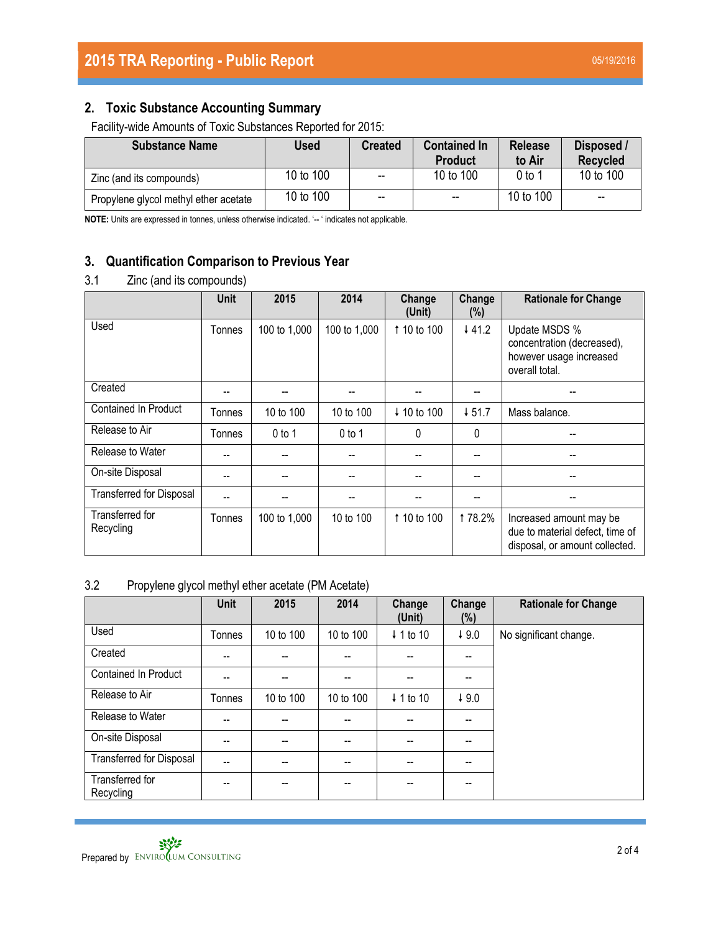# **2. Toxic Substance Accounting Summary**

Facility-wide Amounts of Toxic Substances Reported for 2015:

| <b>Substance Name</b>                 | Used      | <b>Created</b>           | <b>Contained In</b><br><b>Product</b> | <b>Release</b><br>to Air | Disposed /<br><b>Recycled</b> |
|---------------------------------------|-----------|--------------------------|---------------------------------------|--------------------------|-------------------------------|
| Zinc (and its compounds)              | 10 to 100 | $\overline{\phantom{a}}$ | 10 to 100                             | 0 to 1                   | 10 to 100                     |
| Propylene glycol methyl ether acetate | 10 to 100 | $\overline{\phantom{a}}$ | $\overline{\phantom{a}}$              | 10 to 100                | --                            |

**NOTE:** Units are expressed in tonnes, unless otherwise indicated. '-- ' indicates not applicable.

# **3. Quantification Comparison to Previous Year**

## 3.1 Zinc (and its compounds)

|                                 | <b>Unit</b> | 2015         | 2014         | Change<br>(Unit) | Change<br>$(\%)$  | <b>Rationale for Change</b>                                                                  |
|---------------------------------|-------------|--------------|--------------|------------------|-------------------|----------------------------------------------------------------------------------------------|
| Used                            | Tonnes      | 100 to 1,000 | 100 to 1,000 | 1 10 to 100      | 44.2              | Update MSDS %<br>concentration (decreased),<br>however usage increased<br>overall total.     |
| Created                         |             |              |              |                  | --                |                                                                                              |
| <b>Contained In Product</b>     | Tonnes      | 10 to 100    | 10 to 100    | ↓ 10 to 100      | $\downarrow$ 51.7 | Mass balance.                                                                                |
| Release to Air                  | Tonnes      | $0$ to 1     | $0$ to 1     | 0                | 0                 |                                                                                              |
| Release to Water                | --          |              |              |                  | --                |                                                                                              |
| On-site Disposal                |             |              |              |                  | --                | --                                                                                           |
| <b>Transferred for Disposal</b> |             |              |              |                  |                   |                                                                                              |
| Transferred for<br>Recycling    | Tonnes      | 100 to 1,000 | 10 to 100    | 1 10 to 100      | <b>178.2%</b>     | Increased amount may be<br>due to material defect, time of<br>disposal, or amount collected. |

## 3.2 Propylene glycol methyl ether acetate (PM Acetate)

|                                 | <b>Unit</b> | 2015      | 2014      | Change<br>(Unit) | Change<br>(%) | <b>Rationale for Change</b> |
|---------------------------------|-------------|-----------|-----------|------------------|---------------|-----------------------------|
| Used                            | Tonnes      | 10 to 100 | 10 to 100 | ↓ 1 to 10        | $+9.0$        | No significant change.      |
| Created                         | --          | --        | --        | --               | $- -$         |                             |
| <b>Contained In Product</b>     | --          | --        | --        | --               | $- -$         |                             |
| Release to Air                  | Tonnes      | 10 to 100 | 10 to 100 | ↓ 1 to 10        | 49.0          |                             |
| Release to Water                | --          | --        | --        |                  | $- -$         |                             |
| On-site Disposal                | --          | $- -$     | --        | --               | --            |                             |
| <b>Transferred for Disposal</b> | --          | $- -$     | --        | --               | $- -$         |                             |
| Transferred for<br>Recycling    |             | --        |           |                  | --            |                             |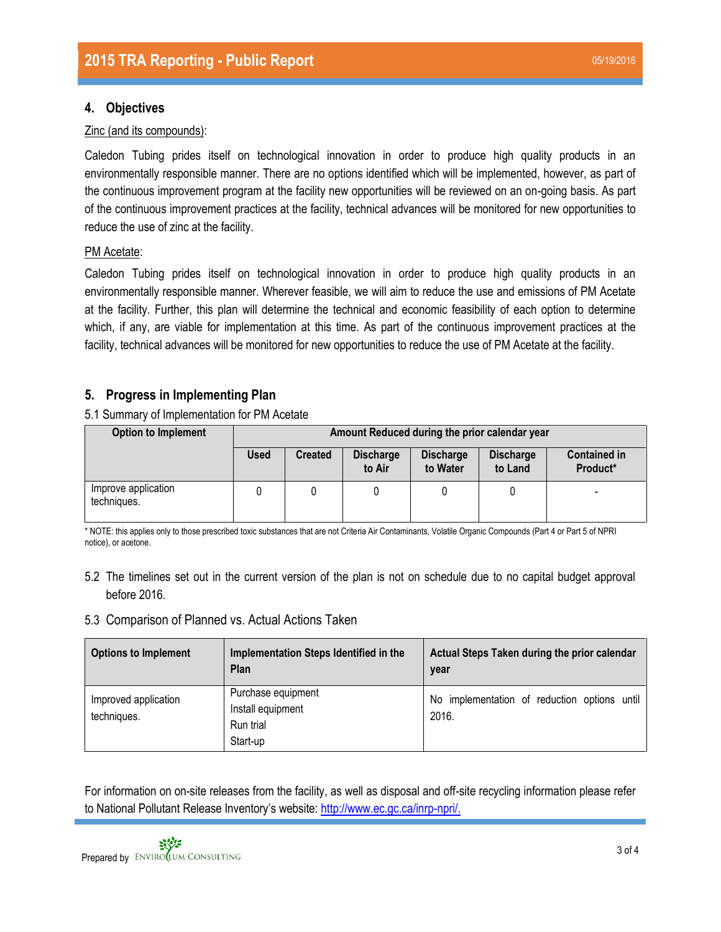## **4. Objectives**

#### Zinc (and its compounds):

Caledon Tubing prides itself on technological innovation in order to produce high quality products in an environmentally responsible manner. There are no options identified which will be implemented, however, as part of the continuous improvement program at the facility new opportunities will be reviewed on an on-going basis. As part of the continuous improvement practices at the facility, technical advances will be monitored for new opportunities to reduce the use of zinc at the facility.

#### PM Acetate:

Caledon Tubing prides itself on technological innovation in order to produce high quality products in an environmentally responsible manner. Wherever feasible, we will aim to reduce the use and emissions of PM Acetate at the facility. Further, this plan will determine the technical and economic feasibility of each option to determine which, if any, are viable for implementation at this time. As part of the continuous improvement practices at the facility, technical advances will be monitored for new opportunities to reduce the use of PM Acetate at the facility.

## **5. Progress in Implementing Plan**

5.1 Summary of Implementation for PM Acetate

| <b>Option to Implement</b>         | Amount Reduced during the prior calendar year |                |                            |                              |                             |                                 |
|------------------------------------|-----------------------------------------------|----------------|----------------------------|------------------------------|-----------------------------|---------------------------------|
|                                    | <b>Used</b>                                   | <b>Created</b> | <b>Discharge</b><br>to Air | <b>Discharge</b><br>to Water | <b>Discharge</b><br>to Land | <b>Contained in</b><br>Product* |
| Improve application<br>techniques. |                                               |                |                            |                              |                             | -                               |

\* NOTE: this applies only to those prescribed toxic substances that are not Criteria Air Contaminants, Volatile Organic Compounds (Part 4 or Part 5 of NPRI notice), or acetone.

5.2 The timelines set out in the current version of the plan is not on schedule due to no capital budget approval before 2016.

#### 5.3 Comparison of Planned vs. Actual Actions Taken

| <b>Options to Implement</b>         | Implementation Steps Identified in the<br>Plan                   | Actual Steps Taken during the prior calendar<br>year  |
|-------------------------------------|------------------------------------------------------------------|-------------------------------------------------------|
| Improved application<br>techniques. | Purchase equipment<br>Install equipment<br>Run trial<br>Start-up | No implementation of reduction options until<br>2016. |

For information on on-site releases from the facility, as well as disposal and off-site recycling information please refer to National Pollutant Release Inventory's website: [http://www.ec.gc.ca/inrp-npri/.](http://www.ec.gc.ca/inrp-npri/)